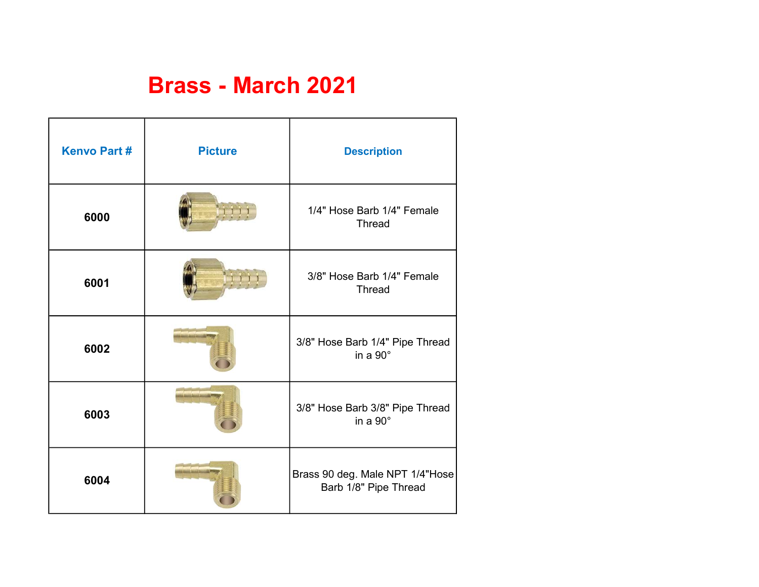## Brass - March 2021

| <b>Kenvo Part#</b> | <b>Picture</b> | <b>Description</b>                                       |
|--------------------|----------------|----------------------------------------------------------|
| 6000               |                | 1/4" Hose Barb 1/4" Female<br><b>Thread</b>              |
| 6001               |                | 3/8" Hose Barb 1/4" Female<br><b>Thread</b>              |
| 6002               |                | 3/8" Hose Barb 1/4" Pipe Thread<br>in a $90^\circ$       |
| 6003               |                | 3/8" Hose Barb 3/8" Pipe Thread<br>in a $90^\circ$       |
| 6004               |                | Brass 90 deg. Male NPT 1/4"Hose<br>Barb 1/8" Pipe Thread |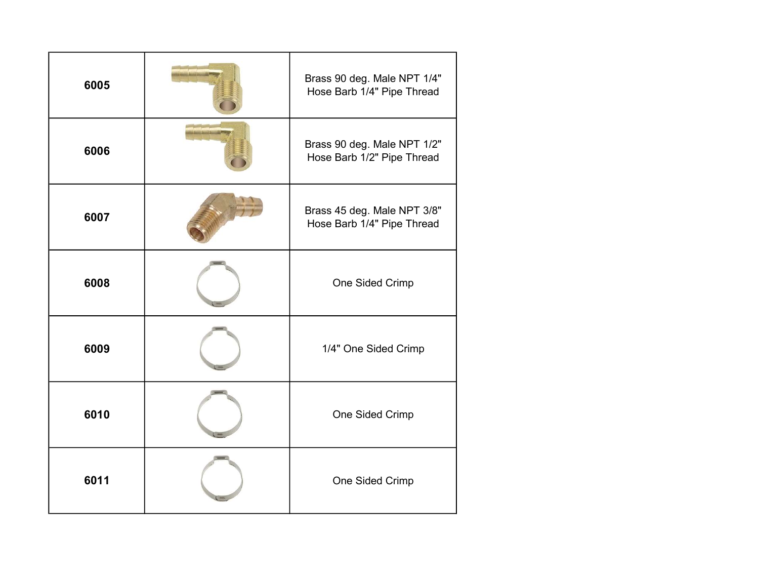| 6005 | Brass 90 deg. Male NPT 1/4"<br>Hose Barb 1/4" Pipe Thread |
|------|-----------------------------------------------------------|
| 6006 | Brass 90 deg. Male NPT 1/2"<br>Hose Barb 1/2" Pipe Thread |
| 6007 | Brass 45 deg. Male NPT 3/8"<br>Hose Barb 1/4" Pipe Thread |
| 6008 | One Sided Crimp                                           |
| 6009 | 1/4" One Sided Crimp                                      |
| 6010 | One Sided Crimp                                           |
| 6011 | One Sided Crimp                                           |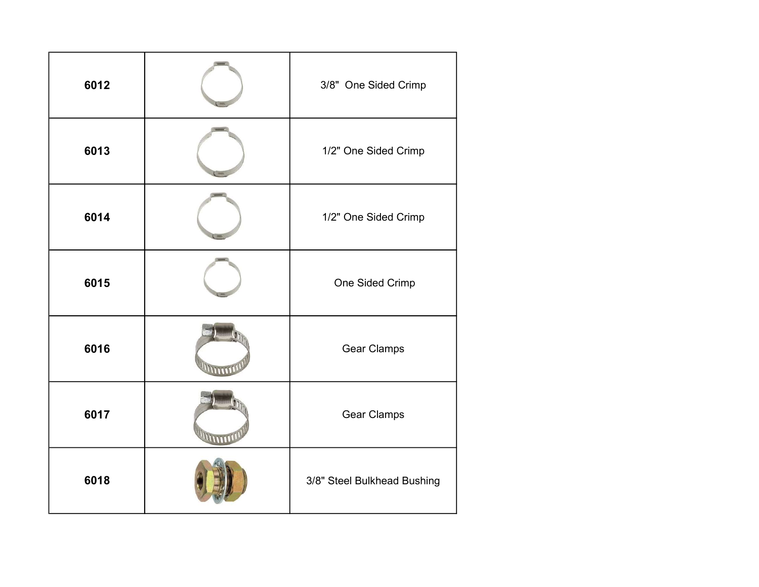| 6012 | 3/8" One Sided Crimp        |
|------|-----------------------------|
| 6013 | 1/2" One Sided Crimp        |
| 6014 | 1/2" One Sided Crimp        |
| 6015 | One Sided Crimp             |
| 6016 | <b>Gear Clamps</b>          |
| 6017 | <b>Gear Clamps</b>          |
| 6018 | 3/8" Steel Bulkhead Bushing |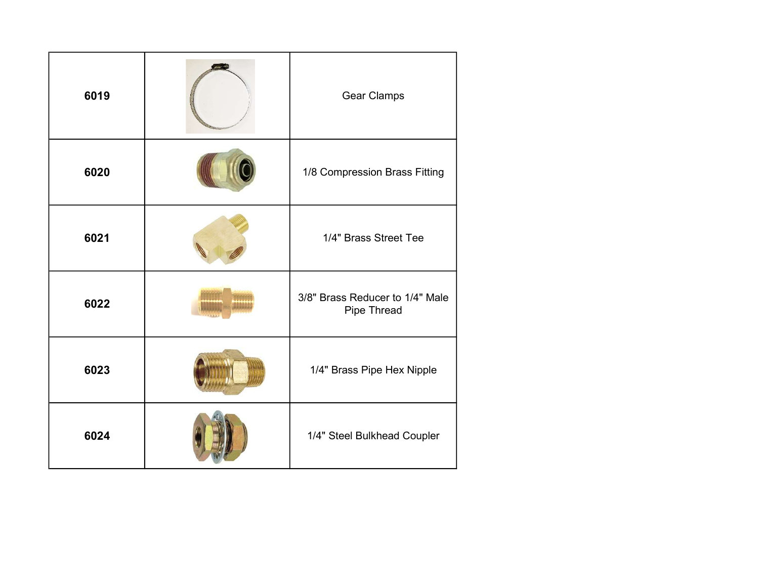| 6019 | <b>Gear Clamps</b>                             |
|------|------------------------------------------------|
| 6020 | 1/8 Compression Brass Fitting                  |
| 6021 | 1/4" Brass Street Tee                          |
| 6022 | 3/8" Brass Reducer to 1/4" Male<br>Pipe Thread |
| 6023 | 1/4" Brass Pipe Hex Nipple                     |
| 6024 | 1/4" Steel Bulkhead Coupler                    |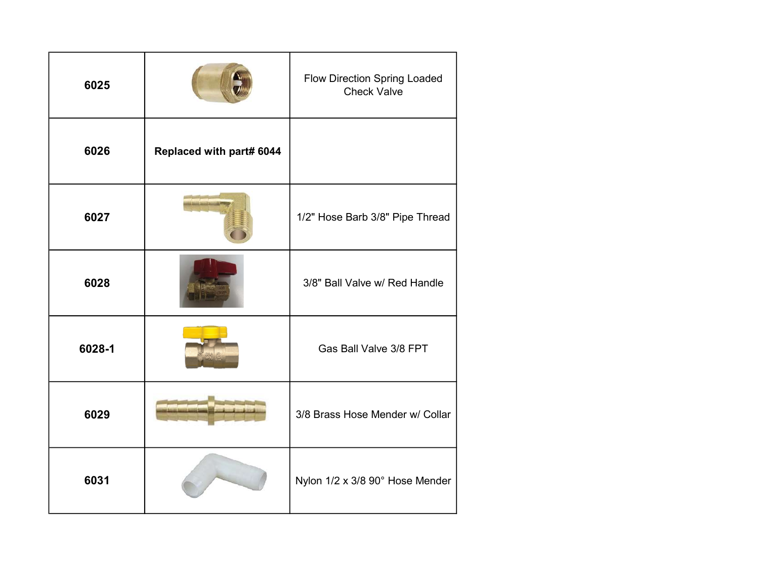| 6025   |                          | <b>Flow Direction Spring Loaded</b><br><b>Check Valve</b> |
|--------|--------------------------|-----------------------------------------------------------|
| 6026   | Replaced with part# 6044 |                                                           |
| 6027   |                          | 1/2" Hose Barb 3/8" Pipe Thread                           |
| 6028   |                          | 3/8" Ball Valve w/ Red Handle                             |
| 6028-1 |                          | Gas Ball Valve 3/8 FPT                                    |
| 6029   |                          | 3/8 Brass Hose Mender w/ Collar                           |
| 6031   |                          | Nylon 1/2 x 3/8 90° Hose Mender                           |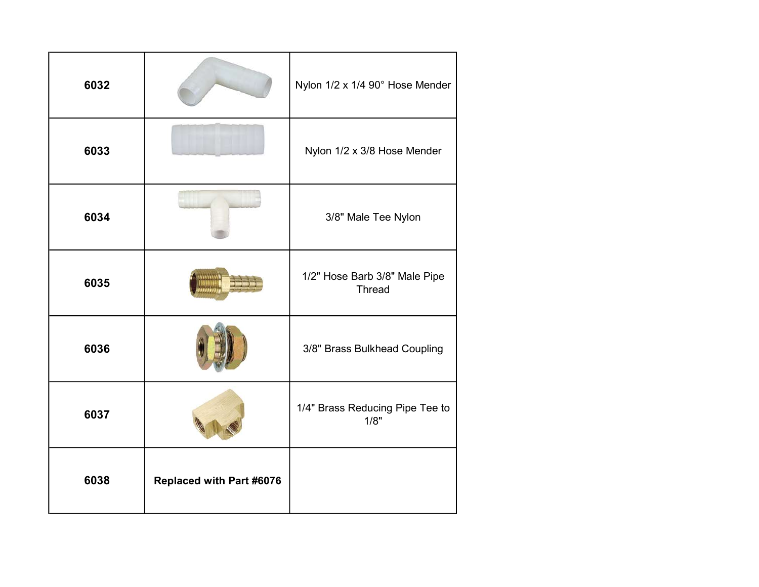| 6032 |                                 | Nylon 1/2 x 1/4 90° Hose Mender                |
|------|---------------------------------|------------------------------------------------|
| 6033 |                                 | Nylon 1/2 x 3/8 Hose Mender                    |
| 6034 |                                 | 3/8" Male Tee Nylon                            |
| 6035 |                                 | 1/2" Hose Barb 3/8" Male Pipe<br><b>Thread</b> |
| 6036 |                                 | 3/8" Brass Bulkhead Coupling                   |
| 6037 |                                 | 1/4" Brass Reducing Pipe Tee to<br>1/8"        |
| 6038 | <b>Replaced with Part #6076</b> |                                                |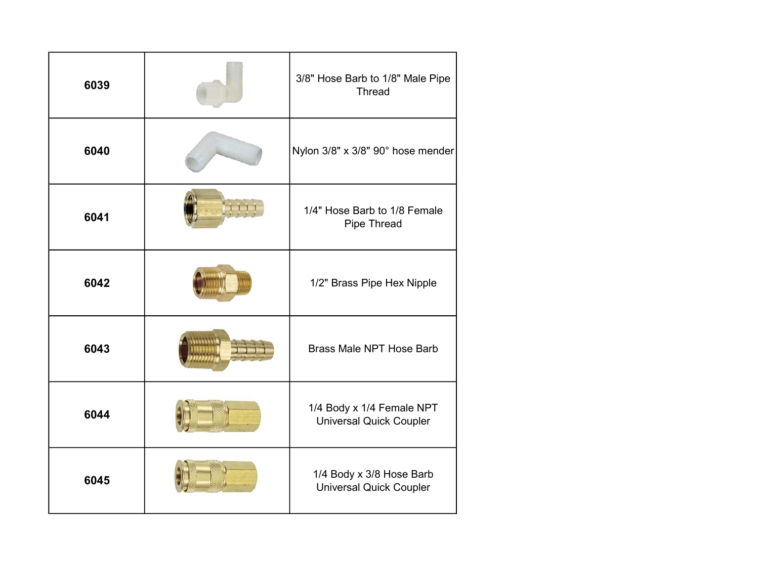| 6039 | 3/8" Hose Barb to 1/8" Male Pipe<br><b>Thread</b>           |
|------|-------------------------------------------------------------|
| 6040 | Nylon 3/8" x 3/8" 90° hose mender                           |
| 6041 | 1/4" Hose Barb to 1/8 Female<br>Pipe Thread                 |
| 6042 | 1/2" Brass Pipe Hex Nipple                                  |
| 6043 | <b>Brass Male NPT Hose Barb</b>                             |
| 6044 | 1/4 Body x 1/4 Female NPT<br><b>Universal Quick Coupler</b> |
| 6045 | 1/4 Body x 3/8 Hose Barb<br><b>Universal Quick Coupler</b>  |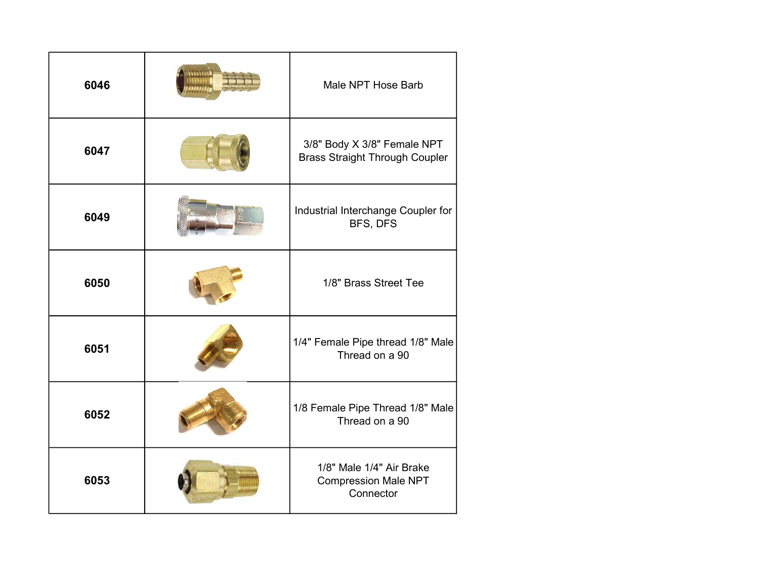| 6046 | Male NPT Hose Barb                                                   |
|------|----------------------------------------------------------------------|
| 6047 | 3/8" Body X 3/8" Female NPT<br><b>Brass Straight Through Coupler</b> |
| 6049 | Industrial Interchange Coupler for<br>BFS, DFS                       |
| 6050 | 1/8" Brass Street Tee                                                |
| 6051 | 1/4" Female Pipe thread 1/8" Male<br>Thread on a 90                  |
| 6052 | 1/8 Female Pipe Thread 1/8" Male<br>Thread on a 90                   |
| 6053 | 1/8" Male 1/4" Air Brake<br><b>Compression Male NPT</b><br>Connector |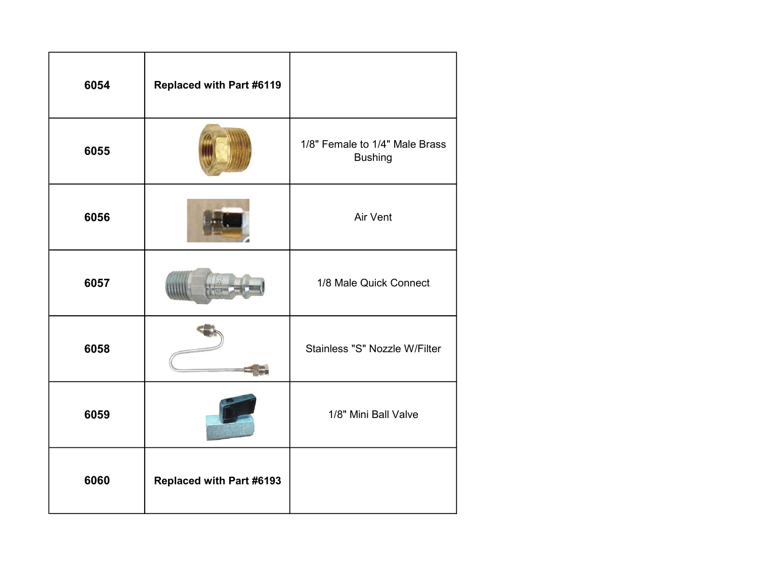| 6054 | Replaced with Part #6119 |                                                  |
|------|--------------------------|--------------------------------------------------|
| 6055 |                          | 1/8" Female to 1/4" Male Brass<br><b>Bushing</b> |
| 6056 |                          | Air Vent                                         |
| 6057 |                          | 1/8 Male Quick Connect                           |
| 6058 |                          | Stainless "S" Nozzle W/Filter                    |
| 6059 |                          | 1/8" Mini Ball Valve                             |
| 6060 | Replaced with Part #6193 |                                                  |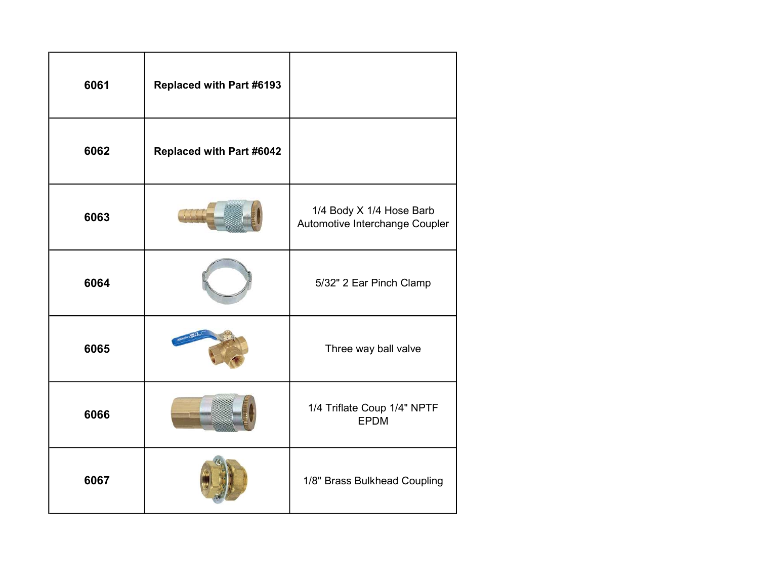| 6061 | Replaced with Part #6193 |                                                            |
|------|--------------------------|------------------------------------------------------------|
| 6062 | Replaced with Part #6042 |                                                            |
| 6063 |                          | 1/4 Body X 1/4 Hose Barb<br>Automotive Interchange Coupler |
| 6064 |                          | 5/32" 2 Ear Pinch Clamp                                    |
| 6065 |                          | Three way ball valve                                       |
| 6066 |                          | 1/4 Triflate Coup 1/4" NPTF<br><b>EPDM</b>                 |
| 6067 |                          | 1/8" Brass Bulkhead Coupling                               |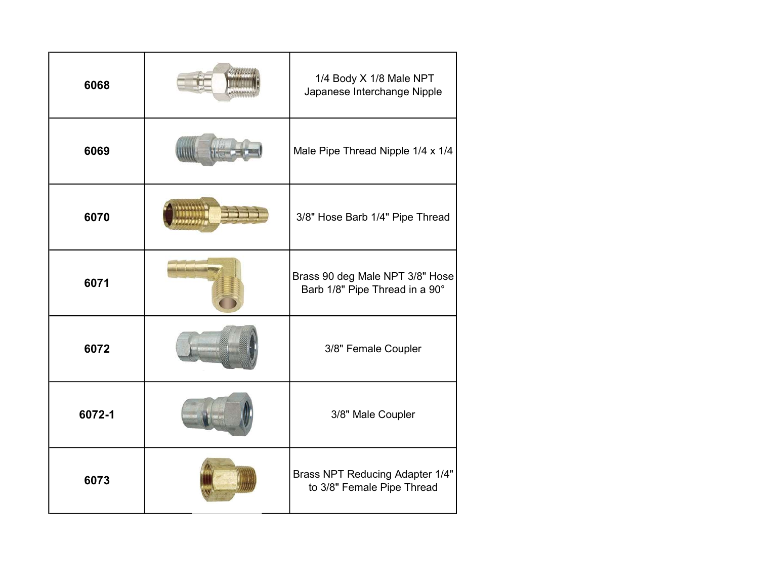| 6068   | 1/4 Body X 1/8 Male NPT<br>Japanese Interchange Nipple               |
|--------|----------------------------------------------------------------------|
| 6069   | Male Pipe Thread Nipple 1/4 x 1/4                                    |
| 6070   | 3/8" Hose Barb 1/4" Pipe Thread                                      |
| 6071   | Brass 90 deg Male NPT 3/8" Hose<br>Barb 1/8" Pipe Thread in a 90°    |
| 6072   | 3/8" Female Coupler                                                  |
| 6072-1 | 3/8" Male Coupler                                                    |
| 6073   | <b>Brass NPT Reducing Adapter 1/4"</b><br>to 3/8" Female Pipe Thread |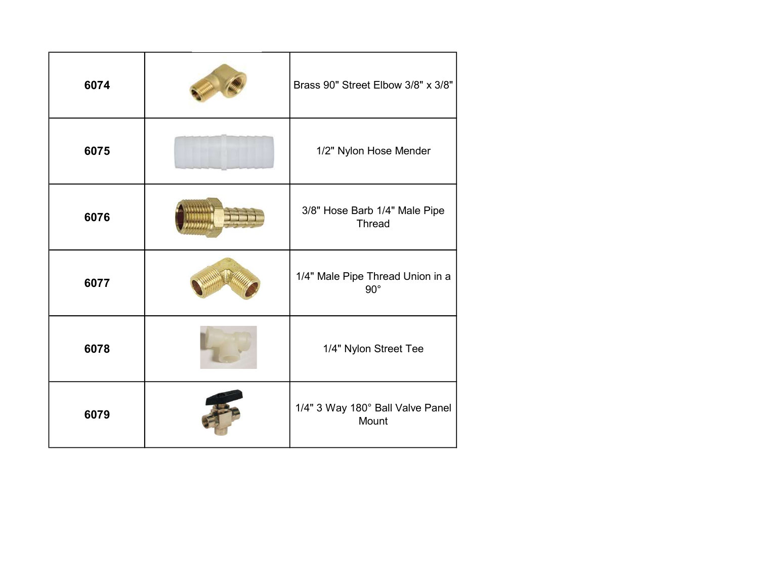| 6074 | Brass 90" Street Elbow 3/8" x 3/8"               |
|------|--------------------------------------------------|
| 6075 | 1/2" Nylon Hose Mender                           |
| 6076 | 3/8" Hose Barb 1/4" Male Pipe<br><b>Thread</b>   |
| 6077 | 1/4" Male Pipe Thread Union in a<br>$90^{\circ}$ |
| 6078 | 1/4" Nylon Street Tee                            |
| 6079 | 1/4" 3 Way 180° Ball Valve Panel<br>Mount        |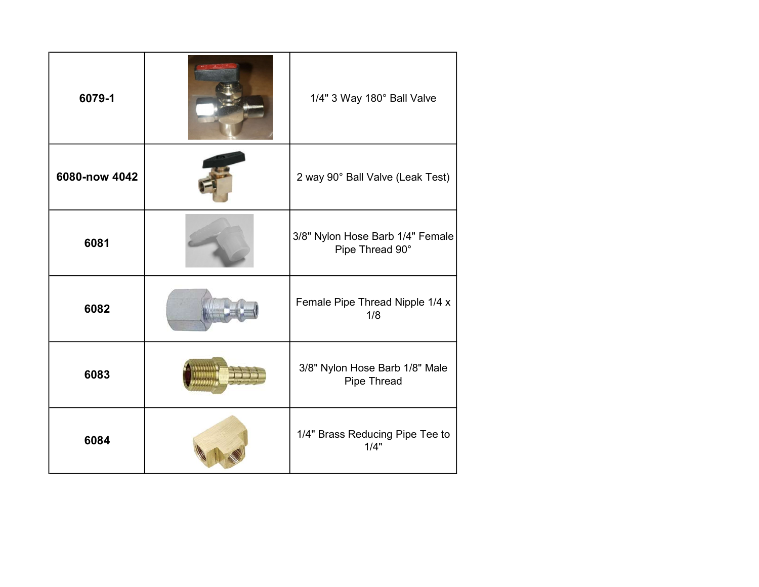| 6079-1        | 1/4" 3 Way 180° Ball Valve                          |
|---------------|-----------------------------------------------------|
| 6080-now 4042 | 2 way 90° Ball Valve (Leak Test)                    |
| 6081          | 3/8" Nylon Hose Barb 1/4" Female<br>Pipe Thread 90° |
| 6082          | Female Pipe Thread Nipple 1/4 x<br>1/8              |
| 6083          | 3/8" Nylon Hose Barb 1/8" Male<br>Pipe Thread       |
| 6084          | 1/4" Brass Reducing Pipe Tee to<br>1/4"             |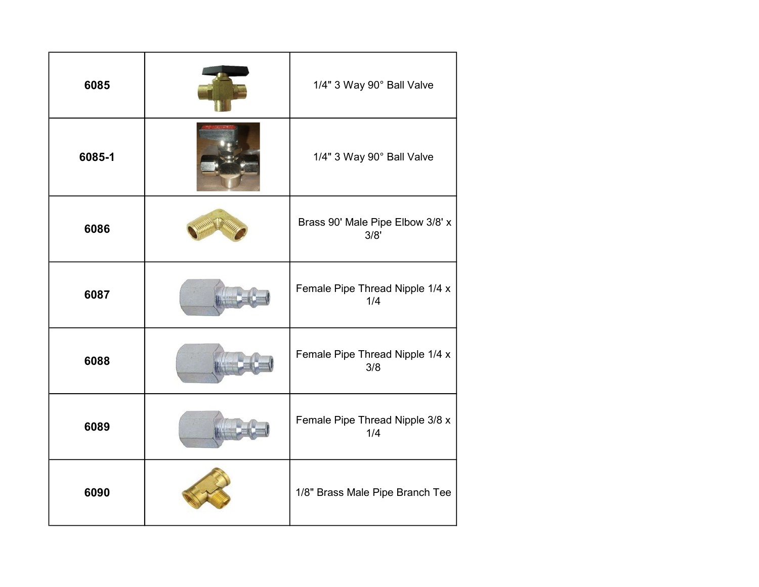| 6085   | 1/4" 3 Way 90° Ball Valve                |
|--------|------------------------------------------|
| 6085-1 | 1/4" 3 Way 90° Ball Valve                |
| 6086   | Brass 90' Male Pipe Elbow 3/8' x<br>3/8' |
| 6087   | Female Pipe Thread Nipple 1/4 x<br>1/4   |
| 6088   | Female Pipe Thread Nipple 1/4 x<br>3/8   |
| 6089   | Female Pipe Thread Nipple 3/8 x<br>1/4   |
| 6090   | 1/8" Brass Male Pipe Branch Tee          |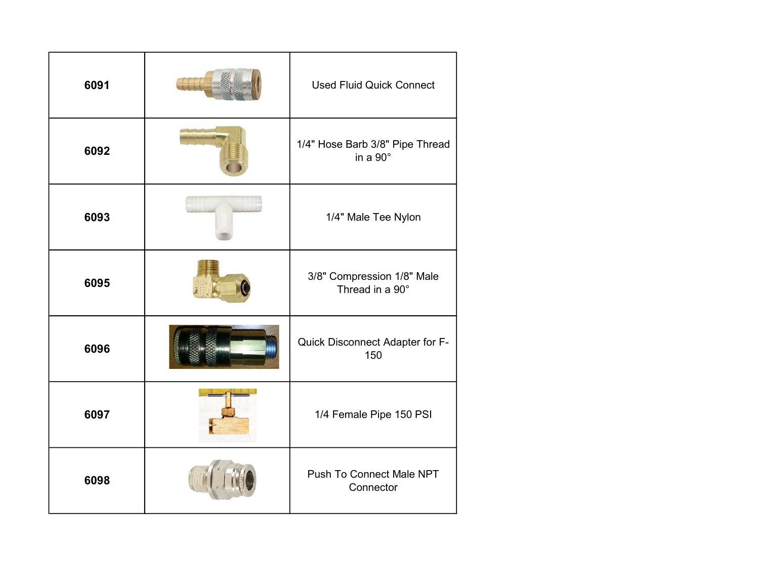| 6091 | <b>Used Fluid Quick Connect</b>                    |
|------|----------------------------------------------------|
| 6092 | 1/4" Hose Barb 3/8" Pipe Thread<br>in a $90^\circ$ |
| 6093 | 1/4" Male Tee Nylon                                |
| 6095 | 3/8" Compression 1/8" Male<br>Thread in a 90°      |
| 6096 | Quick Disconnect Adapter for F-<br>150             |
| 6097 | 1/4 Female Pipe 150 PSI                            |
| 6098 | Push To Connect Male NPT<br>Connector              |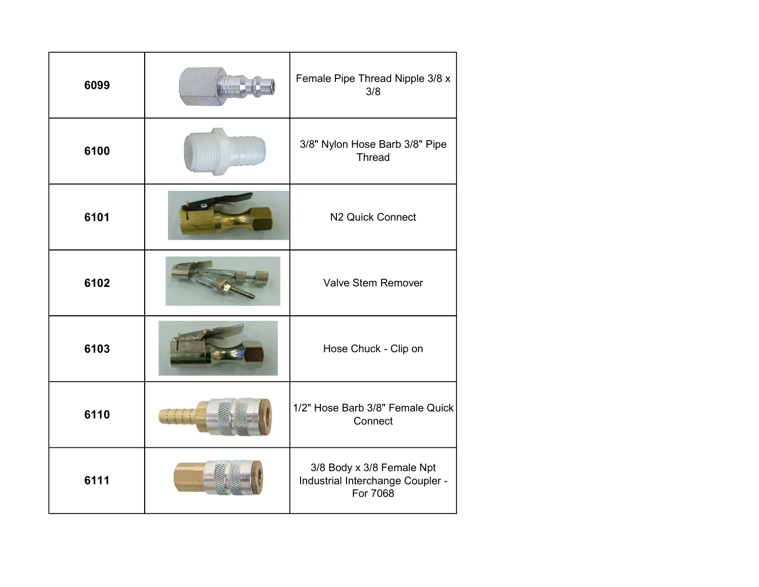| 6099 | Female Pipe Thread Nipple 3/8 x<br>3/8                                    |
|------|---------------------------------------------------------------------------|
| 6100 | 3/8" Nylon Hose Barb 3/8" Pipe<br><b>Thread</b>                           |
| 6101 | N2 Quick Connect                                                          |
| 6102 | <b>Valve Stem Remover</b>                                                 |
| 6103 | Hose Chuck - Clip on                                                      |
| 6110 | 1/2" Hose Barb 3/8" Female Quick<br>Connect                               |
| 6111 | 3/8 Body x 3/8 Female Npt<br>Industrial Interchange Coupler -<br>For 7068 |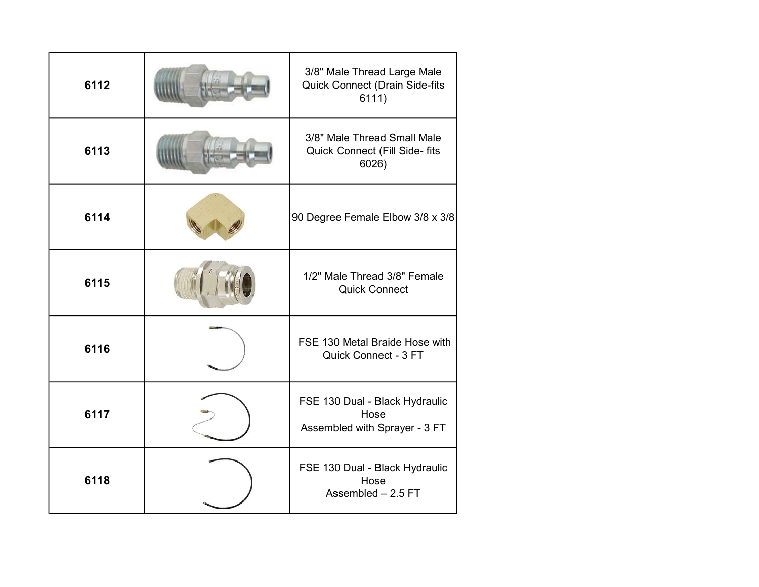| 6112 | 3/8" Male Thread Large Male<br><b>Quick Connect (Drain Side-fits</b><br>6111) |
|------|-------------------------------------------------------------------------------|
| 6113 | 3/8" Male Thread Small Male<br>Quick Connect (Fill Side- fits<br>6026)        |
| 6114 | 90 Degree Female Elbow 3/8 x 3/8                                              |
| 6115 | 1/2" Male Thread 3/8" Female<br><b>Quick Connect</b>                          |
| 6116 | FSE 130 Metal Braide Hose with<br>Quick Connect - 3 FT                        |
| 6117 | FSE 130 Dual - Black Hydraulic<br>Hose<br>Assembled with Sprayer - 3 FT       |
| 6118 | FSE 130 Dual - Black Hydraulic<br>Hose<br>Assembled - 2.5 FT                  |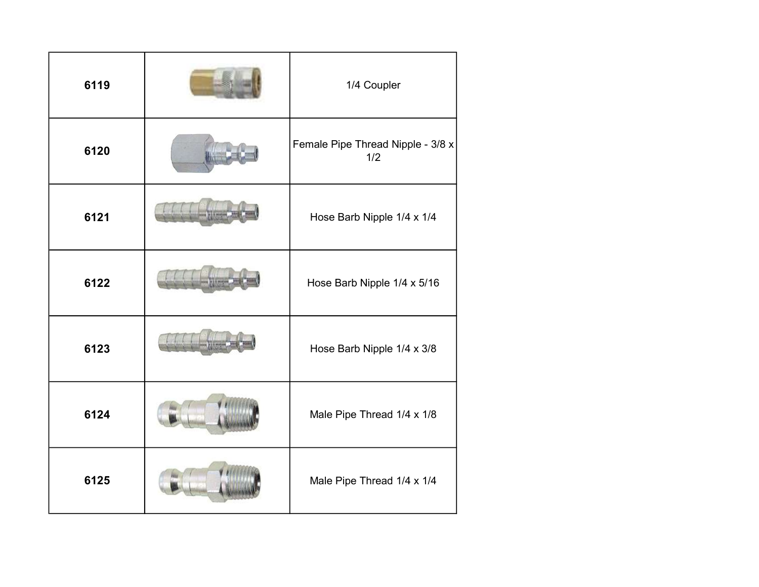| 6119 | 1/4 Coupler                              |
|------|------------------------------------------|
| 6120 | Female Pipe Thread Nipple - 3/8 x<br>1/2 |
| 6121 | Hose Barb Nipple 1/4 x 1/4               |
| 6122 | Hose Barb Nipple 1/4 x 5/16              |
| 6123 | Hose Barb Nipple 1/4 x 3/8               |
| 6124 | Male Pipe Thread 1/4 x 1/8               |
| 6125 | Male Pipe Thread 1/4 x 1/4               |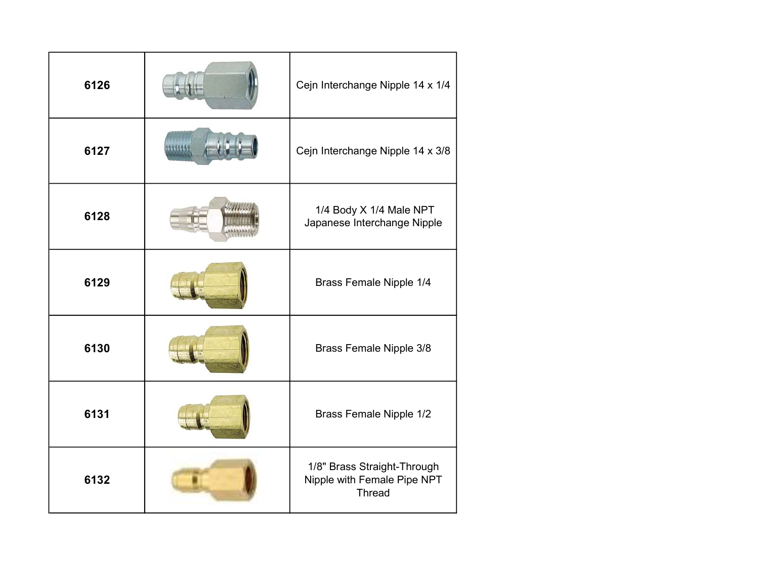| 6126 | Cejn Interchange Nipple 14 x 1/4                                            |
|------|-----------------------------------------------------------------------------|
| 6127 | Cejn Interchange Nipple 14 x 3/8                                            |
| 6128 | 1/4 Body X 1/4 Male NPT<br>Japanese Interchange Nipple                      |
| 6129 | Brass Female Nipple 1/4                                                     |
| 6130 | Brass Female Nipple 3/8                                                     |
| 6131 | Brass Female Nipple 1/2                                                     |
| 6132 | 1/8" Brass Straight-Through<br>Nipple with Female Pipe NPT<br><b>Thread</b> |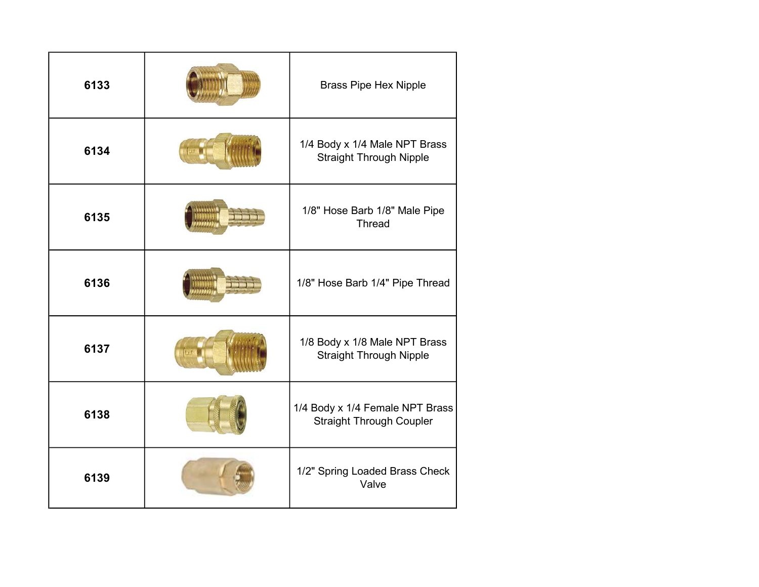| 6133 | <b>Brass Pipe Hex Nipple</b>                                       |
|------|--------------------------------------------------------------------|
| 6134 | 1/4 Body x 1/4 Male NPT Brass<br><b>Straight Through Nipple</b>    |
| 6135 | 1/8" Hose Barb 1/8" Male Pipe<br><b>Thread</b>                     |
| 6136 | 1/8" Hose Barb 1/4" Pipe Thread                                    |
| 6137 | 1/8 Body x 1/8 Male NPT Brass<br><b>Straight Through Nipple</b>    |
| 6138 | 1/4 Body x 1/4 Female NPT Brass<br><b>Straight Through Coupler</b> |
| 6139 | 1/2" Spring Loaded Brass Check<br>Valve                            |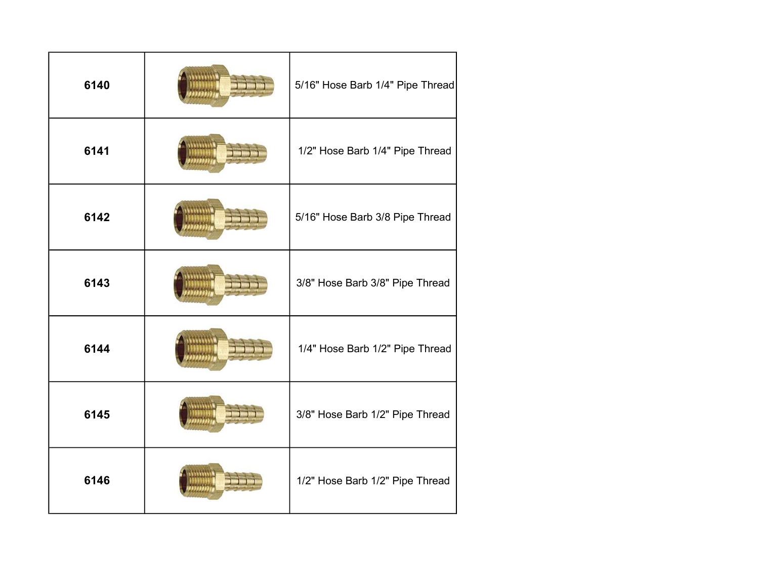| 6140 | 5/16" Hose Barb 1/4" Pipe Thread |
|------|----------------------------------|
| 6141 | 1/2" Hose Barb 1/4" Pipe Thread  |
| 6142 | 5/16" Hose Barb 3/8 Pipe Thread  |
| 6143 | 3/8" Hose Barb 3/8" Pipe Thread  |
| 6144 | 1/4" Hose Barb 1/2" Pipe Thread  |
| 6145 | 3/8" Hose Barb 1/2" Pipe Thread  |
| 6146 | 1/2" Hose Barb 1/2" Pipe Thread  |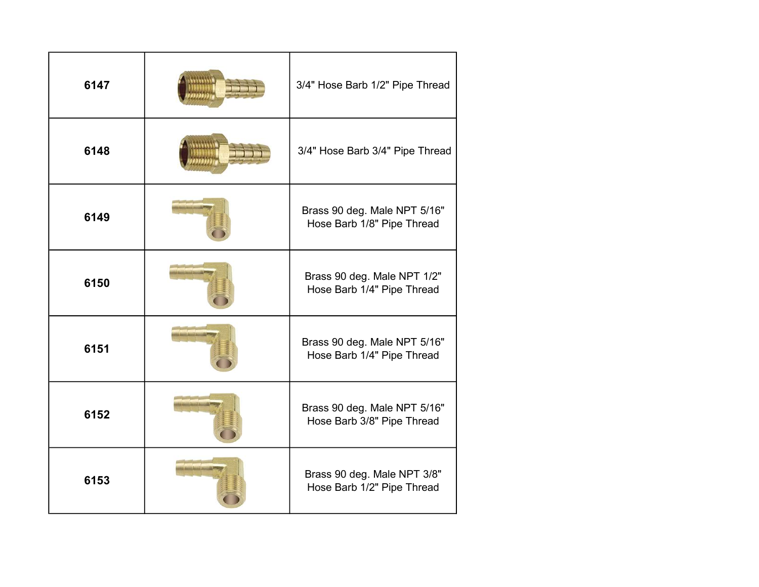| 6147 | 3/4" Hose Barb 1/2" Pipe Thread                            |
|------|------------------------------------------------------------|
| 6148 | 3/4" Hose Barb 3/4" Pipe Thread                            |
| 6149 | Brass 90 deg. Male NPT 5/16"<br>Hose Barb 1/8" Pipe Thread |
| 6150 | Brass 90 deg. Male NPT 1/2"<br>Hose Barb 1/4" Pipe Thread  |
| 6151 | Brass 90 deg. Male NPT 5/16"<br>Hose Barb 1/4" Pipe Thread |
| 6152 | Brass 90 deg. Male NPT 5/16"<br>Hose Barb 3/8" Pipe Thread |
| 6153 | Brass 90 deg. Male NPT 3/8"<br>Hose Barb 1/2" Pipe Thread  |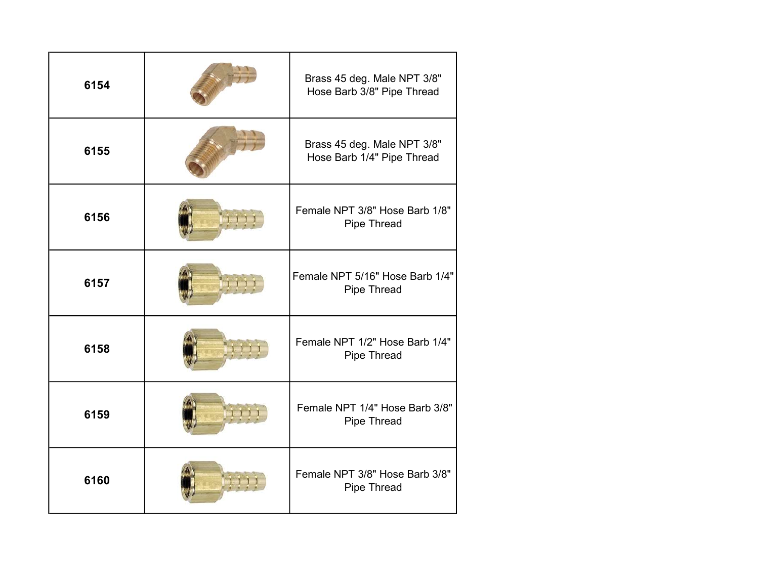| 6154 | Brass 45 deg. Male NPT 3/8"<br>Hose Barb 3/8" Pipe Thread |
|------|-----------------------------------------------------------|
| 6155 | Brass 45 deg. Male NPT 3/8"<br>Hose Barb 1/4" Pipe Thread |
| 6156 | Female NPT 3/8" Hose Barb 1/8"<br>Pipe Thread             |
| 6157 | Female NPT 5/16" Hose Barb 1/4"<br>Pipe Thread            |
| 6158 | Female NPT 1/2" Hose Barb 1/4"<br>Pipe Thread             |
| 6159 | Female NPT 1/4" Hose Barb 3/8"<br>Pipe Thread             |
| 6160 | Female NPT 3/8" Hose Barb 3/8"<br>Pipe Thread             |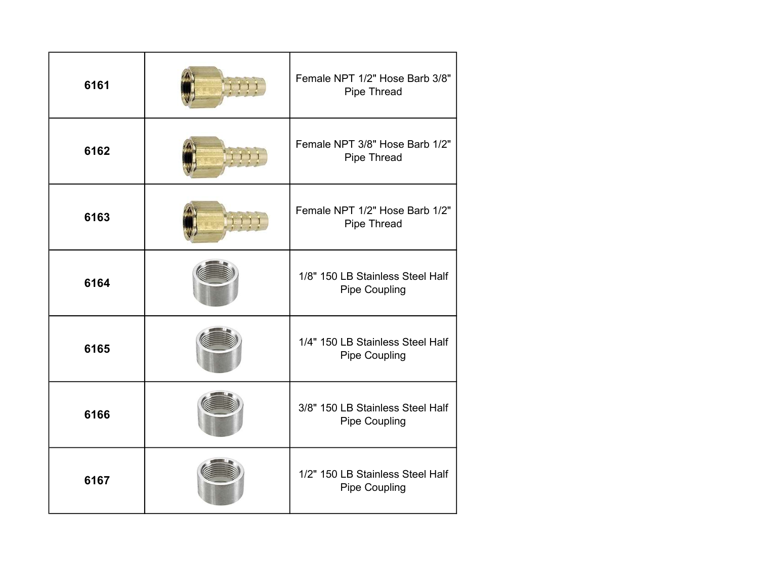| 6161 | Female NPT 1/2" Hose Barb 3/8"<br>Pipe Thread            |
|------|----------------------------------------------------------|
| 6162 | Female NPT 3/8" Hose Barb 1/2"<br>Pipe Thread            |
| 6163 | Female NPT 1/2" Hose Barb 1/2"<br>Pipe Thread            |
| 6164 | 1/8" 150 LB Stainless Steel Half<br><b>Pipe Coupling</b> |
| 6165 | 1/4" 150 LB Stainless Steel Half<br><b>Pipe Coupling</b> |
| 6166 | 3/8" 150 LB Stainless Steel Half<br><b>Pipe Coupling</b> |
| 6167 | 1/2" 150 LB Stainless Steel Half<br><b>Pipe Coupling</b> |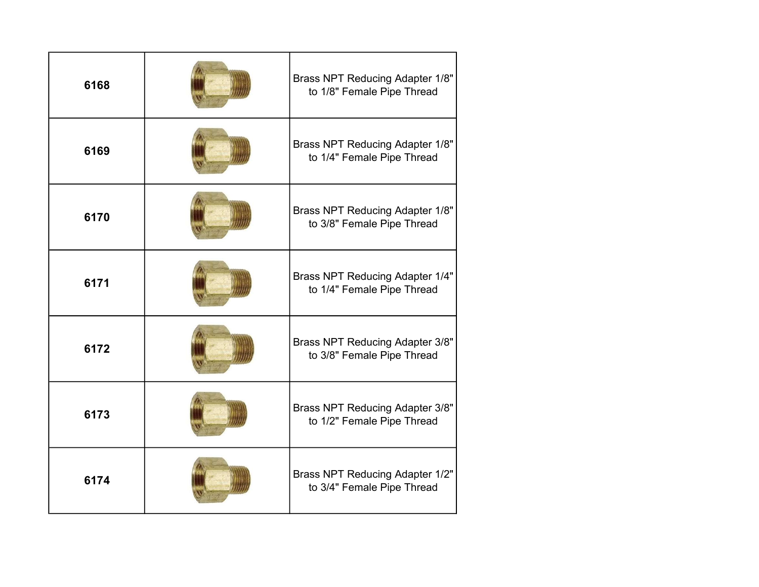| 6168 | Brass NPT Reducing Adapter 1/8"<br>to 1/8" Female Pipe Thread        |
|------|----------------------------------------------------------------------|
| 6169 | Brass NPT Reducing Adapter 1/8"<br>to 1/4" Female Pipe Thread        |
| 6170 | Brass NPT Reducing Adapter 1/8"<br>to 3/8" Female Pipe Thread        |
| 6171 | <b>Brass NPT Reducing Adapter 1/4"</b><br>to 1/4" Female Pipe Thread |
| 6172 | Brass NPT Reducing Adapter 3/8"<br>to 3/8" Female Pipe Thread        |
| 6173 | <b>Brass NPT Reducing Adapter 3/8"</b><br>to 1/2" Female Pipe Thread |
| 6174 | Brass NPT Reducing Adapter 1/2"<br>to 3/4" Female Pipe Thread        |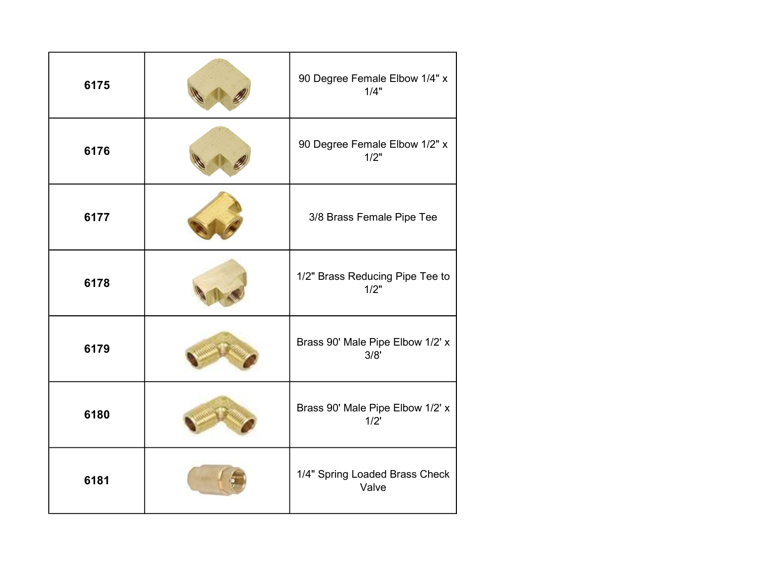| 6175 | 90 Degree Female Elbow 1/4" x<br>1/4"    |
|------|------------------------------------------|
| 6176 | 90 Degree Female Elbow 1/2" x<br>1/2"    |
| 6177 | 3/8 Brass Female Pipe Tee                |
| 6178 | 1/2" Brass Reducing Pipe Tee to<br>1/2"  |
| 6179 | Brass 90' Male Pipe Elbow 1/2' x<br>3/8' |
| 6180 | Brass 90' Male Pipe Elbow 1/2' x<br>1/2  |
| 6181 | 1/4" Spring Loaded Brass Check<br>Valve  |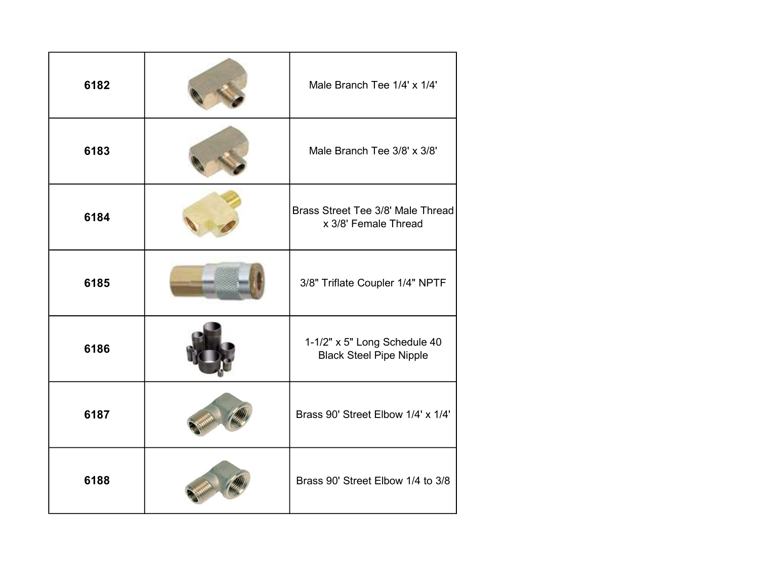| 6182 | Male Branch Tee 1/4' x 1/4'                                    |
|------|----------------------------------------------------------------|
| 6183 | Male Branch Tee 3/8' x 3/8'                                    |
| 6184 | Brass Street Tee 3/8' Male Thread<br>x 3/8' Female Thread      |
| 6185 | 3/8" Triflate Coupler 1/4" NPTF                                |
| 6186 | 1-1/2" x 5" Long Schedule 40<br><b>Black Steel Pipe Nipple</b> |
| 6187 | Brass 90' Street Elbow 1/4' x 1/4'                             |
| 6188 | Brass 90' Street Elbow 1/4 to 3/8                              |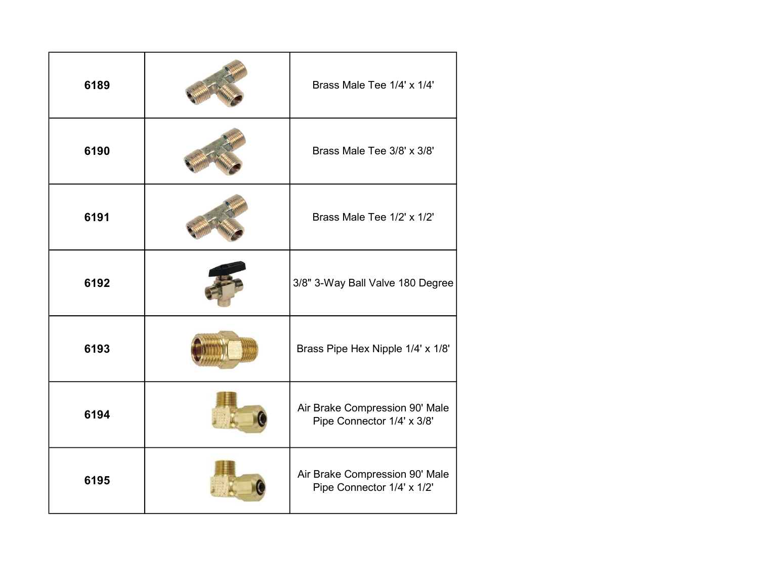| 6189 | Brass Male Tee 1/4' x 1/4'                                   |
|------|--------------------------------------------------------------|
| 6190 | Brass Male Tee 3/8' x 3/8'                                   |
| 6191 | Brass Male Tee 1/2' x 1/2'                                   |
| 6192 | 3/8" 3-Way Ball Valve 180 Degree                             |
| 6193 | Brass Pipe Hex Nipple 1/4' x 1/8'                            |
| 6194 | Air Brake Compression 90' Male<br>Pipe Connector 1/4' x 3/8' |
| 6195 | Air Brake Compression 90' Male<br>Pipe Connector 1/4' x 1/2' |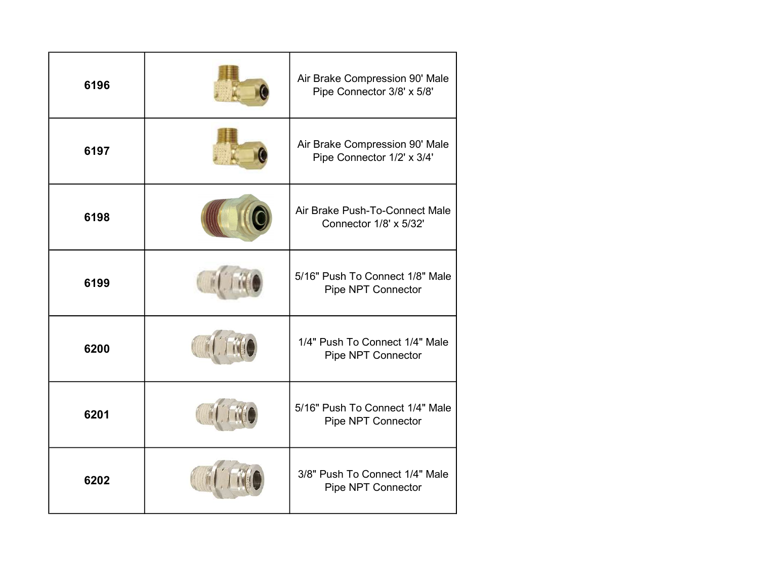| 6196 | Air Brake Compression 90' Male<br>Pipe Connector 3/8' x 5/8' |
|------|--------------------------------------------------------------|
| 6197 | Air Brake Compression 90' Male<br>Pipe Connector 1/2' x 3/4' |
| 6198 | Air Brake Push-To-Connect Male<br>Connector 1/8' x 5/32'     |
| 6199 | 5/16" Push To Connect 1/8" Male<br>Pipe NPT Connector        |
| 6200 | 1/4" Push To Connect 1/4" Male<br>Pipe NPT Connector         |
| 6201 | 5/16" Push To Connect 1/4" Male<br>Pipe NPT Connector        |
| 6202 | 3/8" Push To Connect 1/4" Male<br>Pipe NPT Connector         |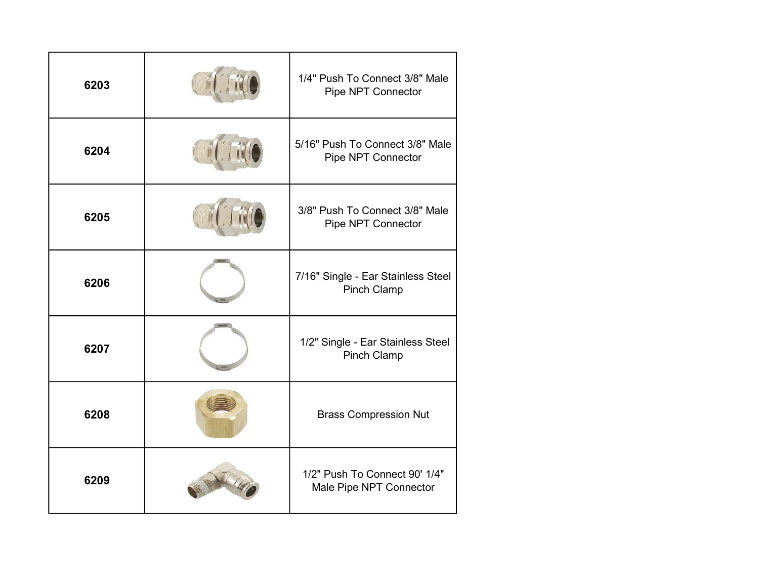| 6203 | 1/4" Push To Connect 3/8" Male<br>Pipe NPT Connector     |
|------|----------------------------------------------------------|
| 6204 | 5/16" Push To Connect 3/8" Male<br>Pipe NPT Connector    |
| 6205 | 3/8" Push To Connect 3/8" Male<br>Pipe NPT Connector     |
| 6206 | 7/16" Single - Ear Stainless Steel<br><b>Pinch Clamp</b> |
| 6207 | 1/2" Single - Ear Stainless Steel<br><b>Pinch Clamp</b>  |
| 6208 | <b>Brass Compression Nut</b>                             |
| 6209 | 1/2" Push To Connect 90' 1/4"<br>Male Pipe NPT Connector |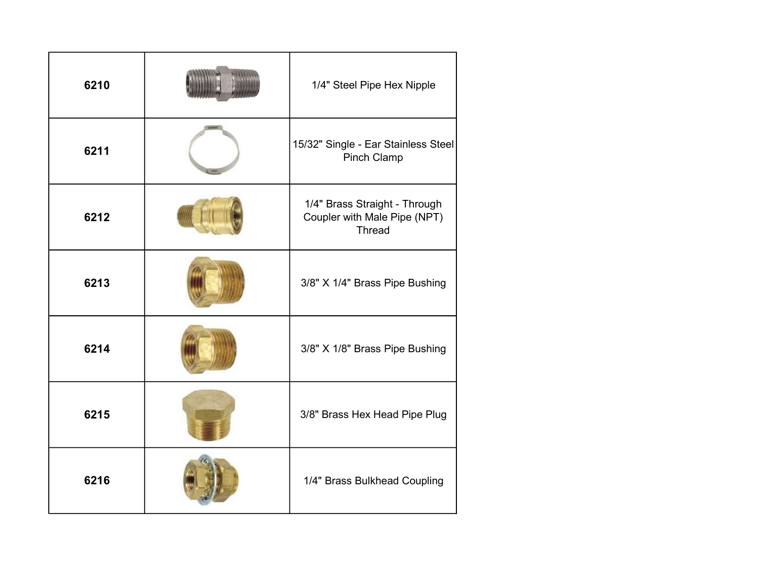| 6210 | 1/4" Steel Pipe Hex Nipple                                                     |
|------|--------------------------------------------------------------------------------|
| 6211 | 15/32" Single - Ear Stainless Steel<br><b>Pinch Clamp</b>                      |
| 6212 | 1/4" Brass Straight - Through<br>Coupler with Male Pipe (NPT)<br><b>Thread</b> |
| 6213 | 3/8" X 1/4" Brass Pipe Bushing                                                 |
| 6214 | 3/8" X 1/8" Brass Pipe Bushing                                                 |
| 6215 | 3/8" Brass Hex Head Pipe Plug                                                  |
| 6216 | 1/4" Brass Bulkhead Coupling                                                   |